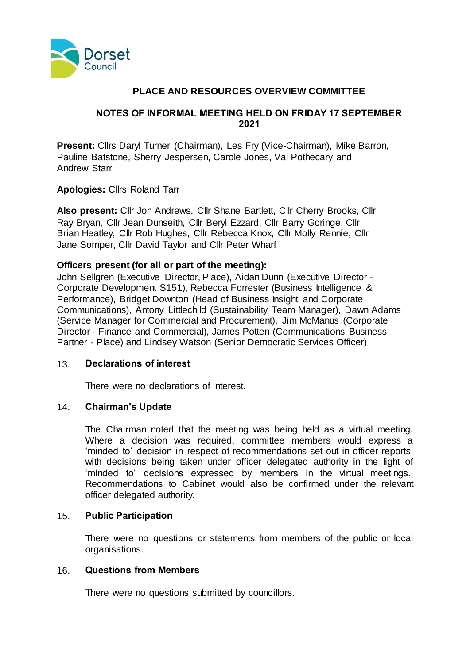

### **PLACE AND RESOURCES OVERVIEW COMMITTEE**

#### **NOTES OF INFORMAL MEETING HELD ON FRIDAY 17 SEPTEMBER 2021**

**Present:** Cllrs Daryl Turner (Chairman), Les Fry (Vice-Chairman), Mike Barron, Pauline Batstone, Sherry Jespersen, Carole Jones, Val Pothecary and Andrew Starr

**Apologies:** Cllrs Roland Tarr

**Also present:** Cllr Jon Andrews, Cllr Shane Bartlett, Cllr Cherry Brooks, Cllr Ray Bryan, Cllr Jean Dunseith, Cllr Beryl Ezzard, Cllr Barry Goringe, Cllr Brian Heatley, Cllr Rob Hughes, Cllr Rebecca Knox, Cllr Molly Rennie, Cllr Jane Somper, Cllr David Taylor and Cllr Peter Wharf

### **Officers present (for all or part of the meeting):**

John Sellgren (Executive Director, Place), Aidan Dunn (Executive Director - Corporate Development S151), Rebecca Forrester (Business Intelligence & Performance), Bridget Downton (Head of Business Insight and Corporate Communications), Antony Littlechild (Sustainability Team Manager), Dawn Adams (Service Manager for Commercial and Procurement), Jim McManus (Corporate Director - Finance and Commercial), James Potten (Communications Business Partner - Place) and Lindsey Watson (Senior Democratic Services Officer)

#### 13. **Declarations of interest**

There were no declarations of interest.

### 14. **Chairman's Update**

The Chairman noted that the meeting was being held as a virtual meeting. Where a decision was required, committee members would express a 'minded to' decision in respect of recommendations set out in officer reports, with decisions being taken under officer delegated authority in the light of 'minded to' decisions expressed by members in the virtual meetings. Recommendations to Cabinet would also be confirmed under the relevant officer delegated authority.

#### 15. **Public Participation**

There were no questions or statements from members of the public or local organisations.

#### 16. **Questions from Members**

There were no questions submitted by councillors.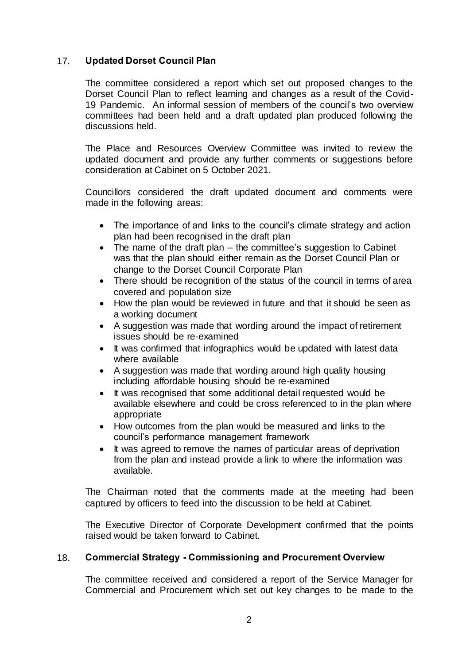### 17. **Updated Dorset Council Plan**

The committee considered a report which set out proposed changes to the Dorset Council Plan to reflect learning and changes as a result of the Covid-19 Pandemic. An informal session of members of the council's two overview committees had been held and a draft updated plan produced following the discussions held.

The Place and Resources Overview Committee was invited to review the updated document and provide any further comments or suggestions before consideration at Cabinet on 5 October 2021.

Councillors considered the draft updated document and comments were made in the following areas:

- The importance of and links to the council's climate strategy and action plan had been recognised in the draft plan
- $\bullet$  The name of the draft plan the committee's suggestion to Cabinet was that the plan should either remain as the Dorset Council Plan or change to the Dorset Council Corporate Plan
- There should be recognition of the status of the council in terms of area covered and population size
- How the plan would be reviewed in future and that it should be seen as a working document
- A suggestion was made that wording around the impact of retirement issues should be re-examined
- It was confirmed that infographics would be updated with latest data where available
- A suggestion was made that wording around high quality housing including affordable housing should be re-examined
- It was recognised that some additional detail requested would be available elsewhere and could be cross referenced to in the plan where appropriate
- How outcomes from the plan would be measured and links to the council's performance management framework
- It was agreed to remove the names of particular areas of deprivation from the plan and instead provide a link to where the information was available.

The Chairman noted that the comments made at the meeting had been captured by officers to feed into the discussion to be held at Cabinet.

The Executive Director of Corporate Development confirmed that the points raised would be taken forward to Cabinet.

### 18. **Commercial Strategy - Commissioning and Procurement Overview**

The committee received and considered a report of the Service Manager for Commercial and Procurement which set out key changes to be made to the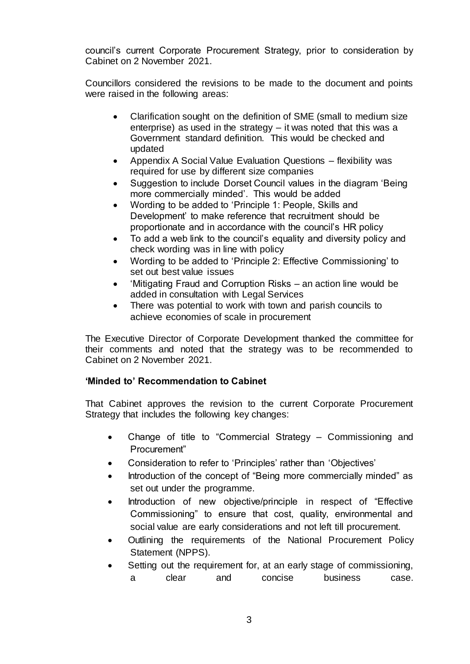council's current Corporate Procurement Strategy, prior to consideration by Cabinet on 2 November 2021.

Councillors considered the revisions to be made to the document and points were raised in the following areas:

- Clarification sought on the definition of SME (small to medium size enterprise) as used in the strategy – it was noted that this was a Government standard definition. This would be checked and updated
- Appendix A Social Value Evaluation Questions flexibility was required for use by different size companies
- Suggestion to include Dorset Council values in the diagram 'Being more commercially minded'. This would be added
- Wording to be added to 'Principle 1: People, Skills and Development' to make reference that recruitment should be proportionate and in accordance with the council's HR policy
- To add a web link to the council's equality and diversity policy and check wording was in line with policy
- Wording to be added to 'Principle 2: Effective Commissioning' to set out best value issues
- 'Mitigating Fraud and Corruption Risks an action line would be added in consultation with Legal Services
- There was potential to work with town and parish councils to achieve economies of scale in procurement

The Executive Director of Corporate Development thanked the committee for their comments and noted that the strategy was to be recommended to Cabinet on 2 November 2021.

# **'Minded to' Recommendation to Cabinet**

That Cabinet approves the revision to the current Corporate Procurement Strategy that includes the following key changes:

- Change of title to "Commercial Strategy Commissioning and Procurement"
- Consideration to refer to 'Principles' rather than 'Objectives'
- Introduction of the concept of "Being more commercially minded" as set out under the programme.
- Introduction of new objective/principle in respect of "Effective Commissioning" to ensure that cost, quality, environmental and social value are early considerations and not left till procurement.
- Outlining the requirements of the National Procurement Policy Statement (NPPS).
- Setting out the requirement for, at an early stage of commissioning, a clear and concise business case.